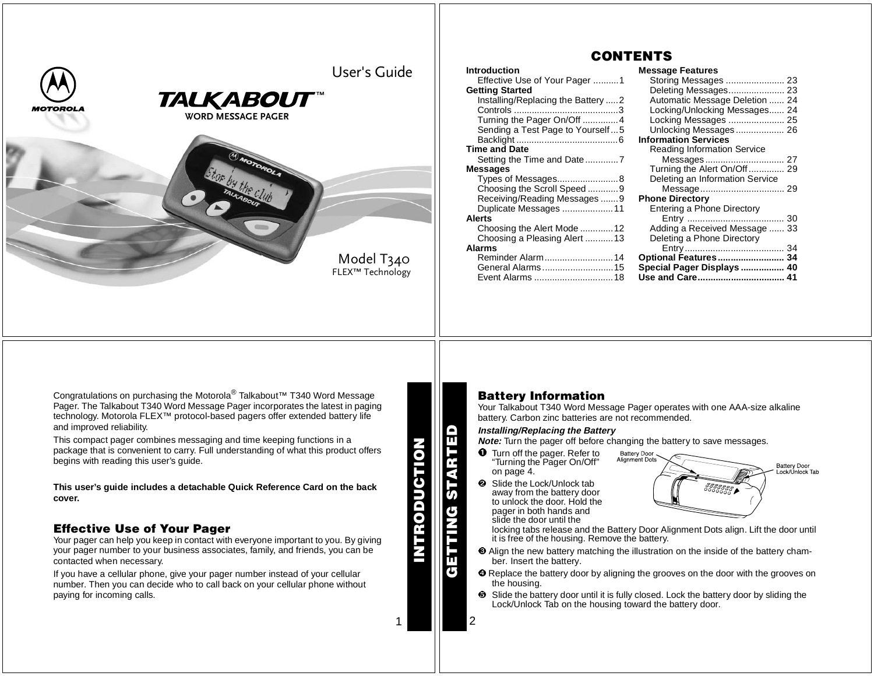

## **CONTENTS**

| <b>Introduction</b>                | <b>Message Features</b>            |  |
|------------------------------------|------------------------------------|--|
| Effective Use of Your Pager 1      |                                    |  |
| <b>Getting Started</b>             |                                    |  |
| Installing/Replacing the Battery 2 | Automatic Message Deletion  24     |  |
|                                    | Locking/Unlocking Messages 24      |  |
| Turning the Pager On/Off 4         | Locking Messages  25               |  |
| Sending a Test Page to Yourself5   | Unlocking Messages 26              |  |
|                                    | <b>Information Services</b>        |  |
| <b>Time and Date</b>               | <b>Reading Information Service</b> |  |
|                                    |                                    |  |
| <b>Messages</b>                    | Turning the Alert On/Off 29        |  |
| Types of Messages8                 | Deleting an Information Service    |  |
| Choosing the Scroll Speed9         |                                    |  |
| Receiving/Reading Messages 9       | <b>Phone Directory</b>             |  |
| Duplicate Messages  11             | Entering a Phone Directory         |  |
| <b>Alerts</b>                      |                                    |  |
| Choosing the Alert Mode 12         | Adding a Received Message  33      |  |
| Choosing a Pleasing Alert 13       | Deleting a Phone Directory         |  |
| <b>Alarms</b>                      |                                    |  |
| Reminder Alarm14                   | Optional Features 34               |  |
| General Alarms15                   | Special Pager Displays  40         |  |
| Event Alarms 18                    | Use and Care 41                    |  |
|                                    |                                    |  |

Congratulations on purchasing the Motorola® Talkabout™ T340 Word Message Pager. The Talkabout T340 Word Message Pager incorporates the latest in paging technology. Motorola FLEX™ protocol-based pagers offer extended battery life and improved reliability.

This compact pager combines messaging and time keeping functions in <sup>a</sup> package that is convenient to carry. Full understanding of what this product offers begins with reading this user's guide.

This user's guide includes a detachable Quick Reference Card on the back **cover.**

## **Effective Use of Your Pager**

Your pager can help you keep in contact with everyone important to you. By giving your pager number to your business associates, family, and friends, you can be contacted when necessary.

If you have <sup>a</sup> cellular phone, give your pager number instead of your cellular number. Then you can decide who to call back on your cellular phone without paying for incoming calls.

**INTRODUCTION STION** RODU **GETTING STARTED**

ш G

1

2

## **Battery Information**

Your Talkabout T340 Word Message Pager operates with one AAA-size alkaline battery. Carbon zinc batteries are not recommended.

#### **Installing/Replacing the Battery**

**Note:** Turn the pager off before changing the battery to save messages.

- **O** Turn off the pager. Refer to "Turning the Pager On/Off" on page 4.
- **2** Slide the Lock/Unlock tab away from the battery door to unlock the door. Hold thepager in both hands and slide the door until the



 locking tabs release and the Battery Door Alignment Dots align. Lift the door until it is free of the housing. Remove the battery.

- Align the new battery matching the illustration on the inside of the battery chamber. Insert the battery.
- **O** Replace the battery door by aligning the grooves on the door with the grooves on the housing.
- $\Theta$  Slide the battery door until it is fully closed. Lock the battery door by sliding the Lock/Unlock Tab on the housing toward the battery door.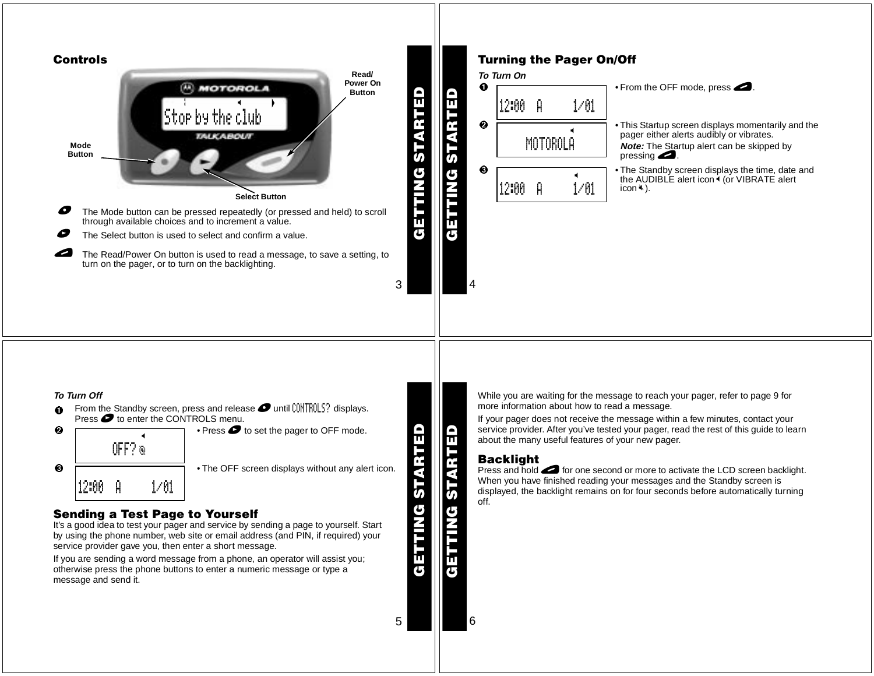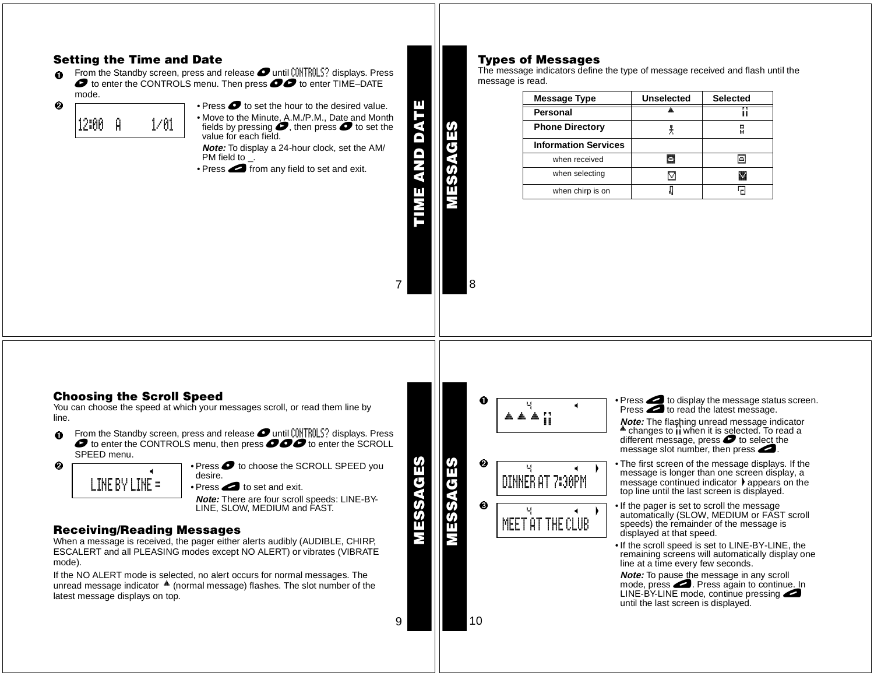## **Setting the Time and Date**

0 **O** From the Standby screen, press and release **O** until CONTROLS? displays. Press  $\bullet$  to enter TIME–DATE mode.

- • Press \* to set the hour to the desired value. 12:00 A 1/01

• Move to the Minute, A.M./P.M., Date and Month fields by pressing  $\bullet$ , then press  $\bullet$  to set the value for each field. **Note:** To display <sup>a</sup> 24-hour clock, set the AM/

PM field to \_.

• Press **external** from any field to set and exit.

## **Types of Messages**

The message indicators define the type of message received and flash until the message is read.

| <b>Message Type</b>         | <b>Unselected</b> | <b>Selected</b> |
|-----------------------------|-------------------|-----------------|
| Personal                    |                   |                 |
| <b>Phone Directory</b>      |                   | ы               |
| <b>Information Services</b> |                   |                 |
| when received               | Ξ                 |                 |
| when selecting              | v                 |                 |
| when chirp is on            |                   |                 |

## **Choosing the Scroll Speed**

You can choose the speed at which your messages scroll, or read them line by line.

O **O** From the Standby screen, press and release **O** until CONTROLS? displays. Press  $\bullet$  of to enter the SCROLL SPEED menu.



 $\boldsymbol{e}$ 

 $\bullet$   $\Box$   $\bullet$  Press  $\bullet$  to choose the SCROLL SPEED you desire.

• Press $\bullet$  to set and exit.

**Note:** There are four scroll speeds: LINE-BY-LINE, SLOW, MEDIUM and FAST.

## **Receiving/Reading Messages**

When <sup>a</sup> message is received, the pager either alerts audibly (AUDIBLE, CHIRP, ESCALERT and all PLEASING modes except NO ALERT) or vibrates (VIBRATE mode).

If the NO ALERT mode is selected, no alert occurs for normal messages. The unread message indicator (normal message) flashes. The slot number of the latest message displays on top.



- $\bullet$   $\Box$   $\Box$   $\bullet$  Press  $\Box$  to display the message status screen. Press  $\bullet$  to read the latest message.
	- **Note:** The flashing unread message indicator changes to  $\mathbf i$  when it is selected. To read a different message, press  $\bullet$  to select the message slot number, then press $\blacktriangle$ .
	- The first screen of the message displays. If the message is longer than one screen display, <sup>a</sup> message continued indicator  $\blacktriangleright$  appears on the top line until the last screen is displayed.
	- **Example 15** If the pager is set to scroll the message automatically (SLOW, MEDIUM or FAST scroll speeds) the remainder of the message is displayed at that speed.
		- If the scroll speed is set to LINE-BY-LINE, the remaining screens will automatically display one line at <sup>a</sup> time every few seconds.

**Note:** To pause the message in any scroll mode, press <br> **O.** Press again to continue. In LINE-BY-LINE mode, continue pressing until the last screen is displayed.

10

**MESSAGES**

Μ

g

<u>(၇</u>

**MESSAGES**

m

m

 $\overline{\mathbf{G}}$ E  $\sigma$ Ŵ

9

7

8

**TIME AND DATE**

ANO OATE

**MESSAGES**

C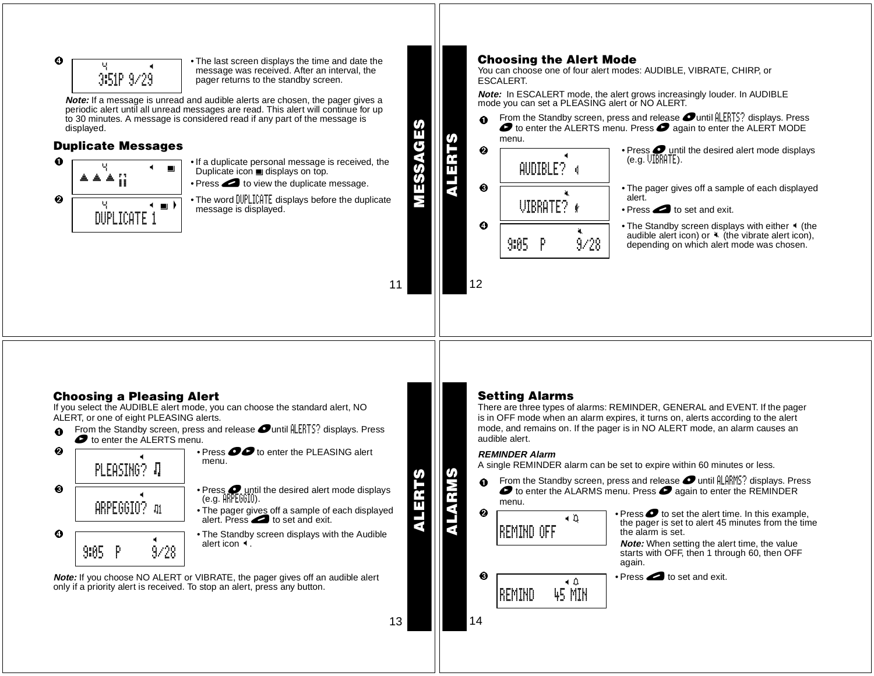$$
\bullet \overline{\qquad \qquad } \overline{\qquad \qquad } \overline{\qquad \qquad } \overline{\qquad \qquad } \overline{\qquad \qquad } \overline{\qquad \qquad } \overline{\qquad \qquad } \overline{\qquad \qquad } \overline{\qquad \qquad } \overline{\qquad \qquad } \overline{\qquad \qquad } \overline{\qquad \qquad } \overline{\qquad \qquad } \overline{\qquad \qquad } \overline{\qquad \qquad } \overline{\qquad \qquad } \overline{\qquad \qquad } \overline{\qquad \qquad } \overline{\qquad \qquad } \overline{\qquad \qquad } \overline{\qquad \qquad } \overline{\qquad \qquad } \overline{\qquad \qquad } \overline{\qquad \qquad } \overline{\qquad \qquad } \overline{\qquad \qquad } \overline{\qquad \qquad } \overline{\qquad \qquad } \overline{\qquad \qquad } \overline{\qquad \qquad } \overline{\qquad \qquad } \overline{\qquad \qquad } \overline{\qquad \qquad } \overline{\qquad \qquad } \overline{\qquad \qquad } \overline{\qquad \qquad } \overline{\qquad \qquad } \overline{\qquad \qquad } \overline{\qquad \qquad } \overline{\qquad \qquad } \overline{\qquad \qquad } \overline{\qquad \qquad } \overline{\qquad \qquad } \overline{\qquad \qquad } \overline{\qquad \qquad } \overline{\qquad \qquad } \overline{\qquad \qquad } \overline{\qquad \qquad } \overline{\qquad \qquad } \overline{\qquad \qquad } \overline{\qquad \qquad } \overline{\qquad \qquad } \overline{\qquad \qquad } \overline{\qquad \qquad } \overline{\qquad \qquad } \overline{\qquad \qquad } \overline{\qquad \qquad } \overline{\qquad \qquad } \overline{\qquad \qquad } \overline{\qquad \qquad } \overline{\qquad \qquad } \overline{\qquad \qquad } \overline{\qquad \qquad } \overline{\qquad \qquad } \overline{\qquad \qquad } \overline{\qquad \qquad } \overline{\qquad \qquad } \overline{\qquad \qquad } \overline{\qquad \qquad } \overline{\qquad \qquad } \overline{\qquad \qquad } \overline{\qquad \qquad } \overline{\qquad \qquad } \overline{\qquad \qquad } \overline{\qquad \qquad } \overline{\qquad \q
$$

 • The last screen displays the time and date the message was received. After an interval, the pager returns to the standby screen.

**Note:** If <sup>a</sup> message is unread and audible alerts are chosen, the pager gives <sup>a</sup> periodic alert until all unread messages are read. This alert will continue for up to 30 minutes. A message is considered read if any part of the message is displayed.

#### **Duplicate Messages**



- **u 1 •** If a duplicate personal message is received, the Duplicate icon displays on top.
	- $\bullet$  Press  $\bullet$  to view the duplicate message.
- $\frac{1}{2}$  The word DUPLICATE displays before the duplicate message is displayed.

11

**MESSAGES**

**DVSSE** 

U) ш

**ALERTS**

╥

## **Choosing the Alert Mode**

You can choose one of four alert modes: AUDIBLE, VIBRATE, CHIRP, or ESCALERT.

**Note:** In ESCALERT mode, the alert grows increasingly louder. In AUDIBLE mode you can set <sup>a</sup> PLEASING alert or NO ALERT.

0 From the Standby screen, press and release  $\bullet$  until  $\parallel$  ERTS? displays. Press  $\bullet$  to enter the ALERTS menu. Press  $\bullet$  again to enter the ALERT MODE



## **Choosing a Pleasing Alert**

If you select the AUDIBLE alert mode, you can choose the standard alert, NO ALERT, or one of eight PLEASING alerts.





- $\bullet$  The pager gives off a sample of each displayed<br>alert. Press
- The Standby screen displays with the Audible

**Note:** If you choose NO ALERT or VIBRATE, the pager gives off an audible alert only if a priority alert is received. To stop an alert, press any button.

12

#### **Setting Alarms**

There are three types of alarms: REMINDER, GENERAL and EVENT. If the pager is in OFF mode when an alarm expires, it turns on, alerts according to the alert mode, and remains on. If the pager is in NO ALERT mode, an alarm causes an audible alert.

#### **REMINDER Alarm**

A single REMINDER alarm can be set to expire within 60 minutes or less.

- $\Omega$ **1** From the Standby screen, press and release **O** until ALARMS? displays. Press  $\bullet$  to enter the ALARMS menu. Press  $\bullet$  again to enter the REMINDER menu.
- 14 $\boldsymbol{e}$  $\bullet$   $\Box$   $\Box$   $\bullet$  Press  $\bullet$  to set the alert time. In this example, the pager is set to alert 45 minutes from the time the alarm is set.**Note:** When setting the alert time, the value starts with OFF, then 1 through 60, then OFF again. ❸  $\bullet$  Press  $\bullet$  to set and exit.  $\blacksquare$ REMIND OFF  $\triangle$ 45 MIN **REMIND**



**ALARMS**

SINBIATIV

13

**ALERTS**

ALERTS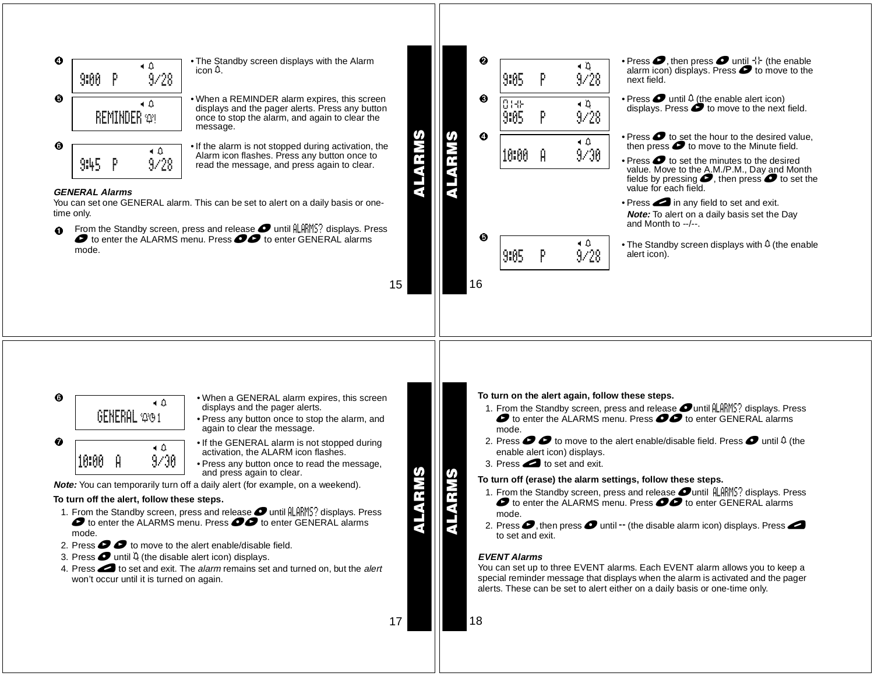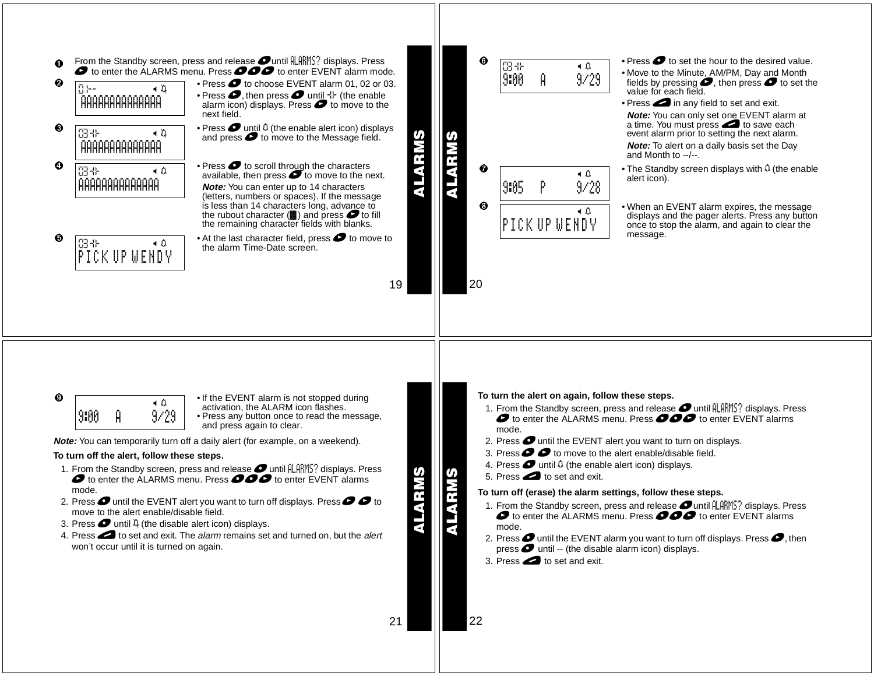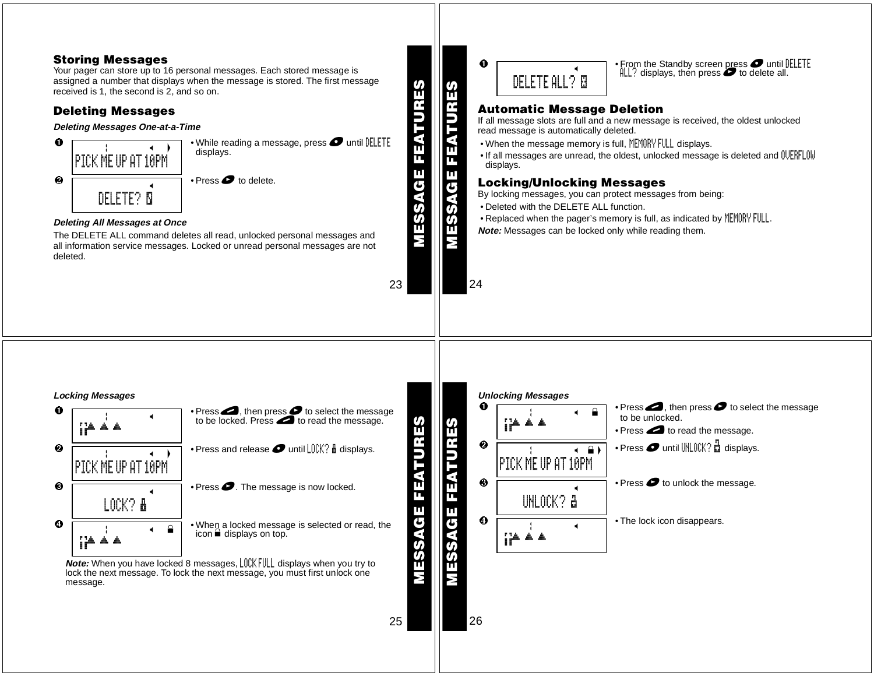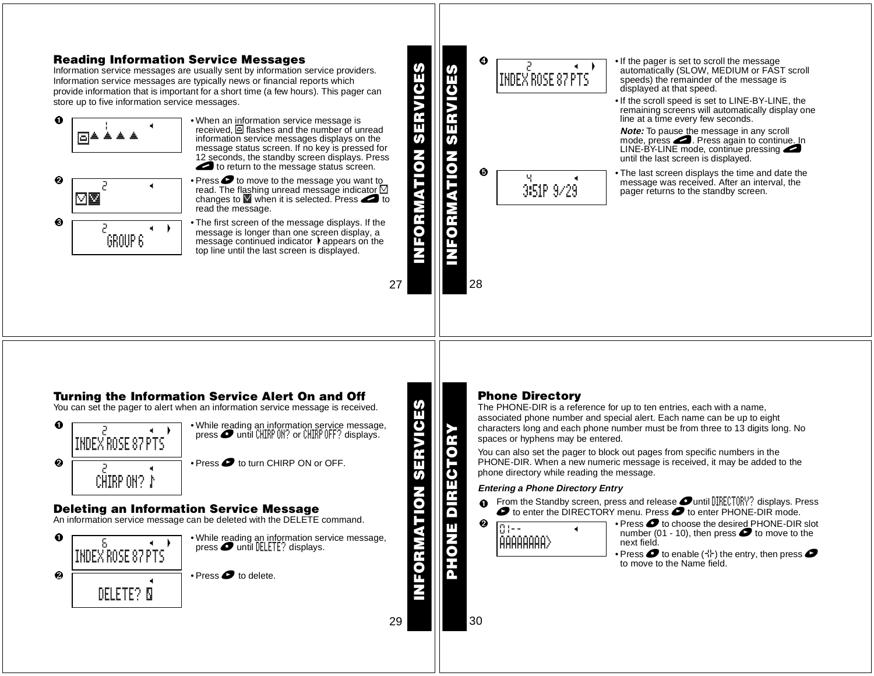#### **Reading Information Service Messages**  $\boldsymbol{c}$ • If the pager is set to scroll the message<br>extensionly (SLOW, MEDUIM of EAST) 2 HD **INFORMATION SERVICES** Information service messages are usually sent by information service providers. **INFORMATION SERVICES** automatically (SLOW, MEDIUM or FAST scroll INDEX ROSE 87 PTS speeds) the remainder of the message is Information service messages are typically news or financial reports which displayed at that speed. provide information that is important for <sup>a</sup> short time (a few hours). This pager can store up to five information service messages. • If the scroll speed is set to LINE-BY-LINE, the remaining screens will automatically display one Ω • When an information service message is line at <sup>a</sup> time every few seconds.  $1$  H  $\sim$ received,  $\Box$  flashes and the number of unread **Note:** To pause the message in any scroll &§ § § § n) information service messages displays on the U) mode, press **2.** Press again to continue. In message status screen. If no key is pressed for<br>12 seconds, the standby screen displays. Press LINE-BY-LINE mode, continue pressing **MATION** until the last screen is displayed.  $\bullet$  to return to the message status screen.  $\overline{\mathbf{o}}$  $\boldsymbol{\Theta}$  • The last screen displays the time and date the Press  $\bullet$  to move to the message you want to 4 <sup>H</sup>  $\boldsymbol{e}$ message was received. After an interval, the 2 <sup>H</sup> 3:51P 9/29 read. The flashing unread message indicator  $\Box$ pager returns to the standby screen. M0 changes to  $\blacksquare$  when it is selected. Press  $\blacksquare$  to read the message. e<br>6 ❸ • The first screen of the message displays. If the  $\rightarrow$ message is longer than one screen display, <sup>a</sup> GROUP 6 message continued indicator  $\blacktriangleright$  appears on the top line until the last screen is displayed. 2728

## **Turning the Information Service Alert On and Off**

You can set the pager to alert when an information service message is received.



## **Deleting an Information Service Message**

An information service message can be deleted with the DELETE command.



## **Phone Directory**

The PHONE-DIR is <sup>a</sup> reference for up to ten entries, each with <sup>a</sup> name, associated phone number and special alert. Each name can be up to eight characters long and each phone number must be from three to 13 digits long. No spaces or hyphens may be entered.

You can also set the pager to block out pages from specific numbers in the PHONE-DIR. When <sup>a</sup> new numeric message is received, it may be added to the phone directory while reading the message.

### **Entering <sup>a</sup> Phone Directory Entry**

0 From the Standby screen, press and release **Ountil DIRECTORY?** displays. Press  $\bullet$  to enter the DIRECTORY menu. Press  $\bullet$  to enter PHONE-DIR mode.



 $\bullet$  Press  $\bullet$  to choose the desired PHONE-DIR slot number (01 - 10), then press  $\bullet$  to move to the next field.

• Press  $\bullet$  to enable ( $\downarrow$ ) the entry, then press  $\bullet$ to move to the Name field.

30

**INFORMATION SERVICES**

ORMATION

VICES

Ê

<u>ທ</u>

**PHONE DIRECTORY**

 $\overline{\mathsf{D}}$ π ă

G د،

29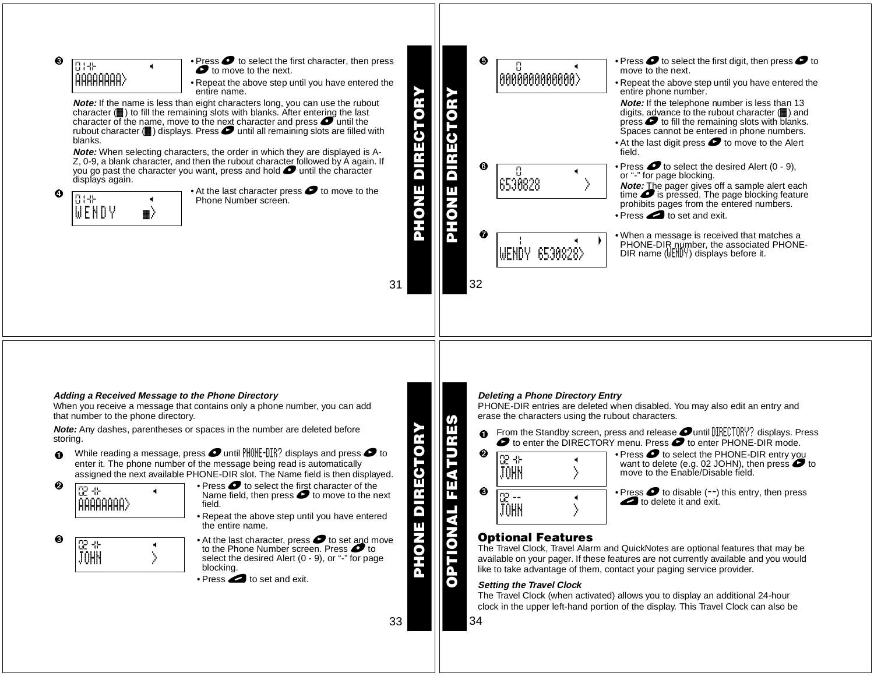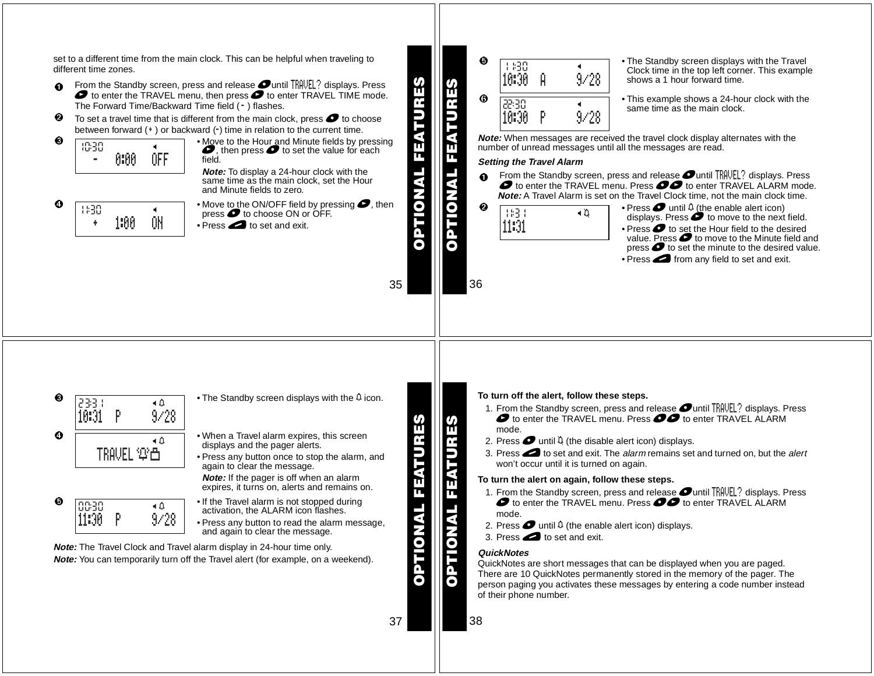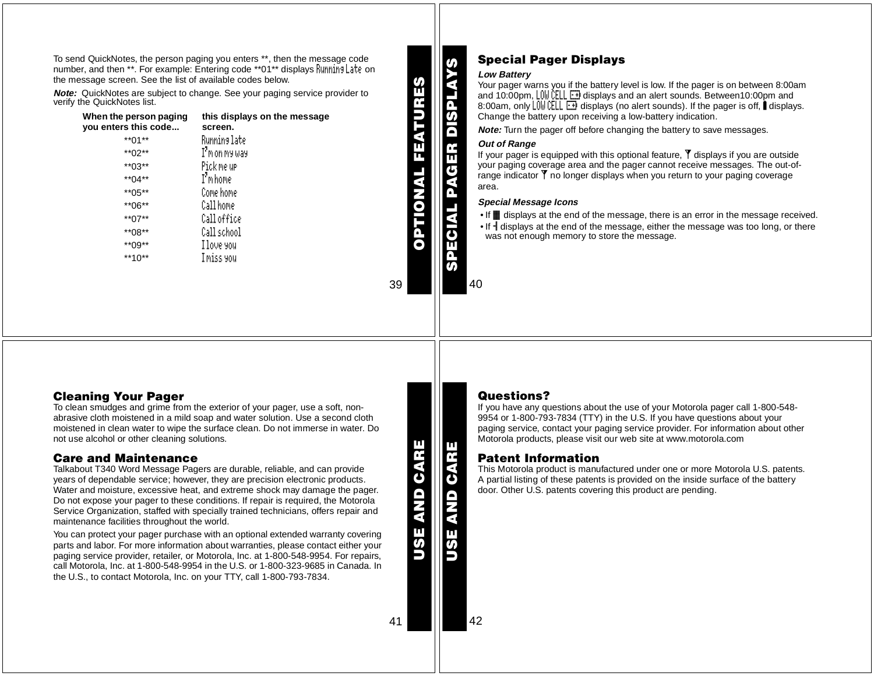To send QuickNotes, the person paging you enters \*\*, then the message code number, and then \*\*. For example: Entering code \*\*01\*\* displays Running Late on the message screen. See the list of available codes below.

**Note:** QuickNotes are subject to change. See your paging service provider to verify the QuickNotes list.

| When the person paging<br>you enters this code | this displays on the message<br>screen. |
|------------------------------------------------|-----------------------------------------|
| $*$ *01 $*$                                    | Runnins late                            |
| **02**                                         | I'm on my way                           |
| $*$ *03**                                      | Pick me up                              |
| **04**                                         | I'm home                                |
| $*$ *05**                                      | Come home                               |
| **06**                                         | Call home                               |
| $*$ *07**                                      | Calloffice                              |
| **08**                                         | Call school                             |
| $*$ *09**                                      | I love you                              |
| $**10**$                                       | I miss you                              |
|                                                |                                         |

**SPECIAL PAGER DISPLAYS** Æ π TV OF

**OPTIONAL FEATURES**

TIONAL

FEATU

## **Special Pager Displays**

#### **Low Battery**

Your pager warns you if the battery level is low. If the pager is on between 8:00am<br>and 10:00pm, L0W CELL ⊡I displays and an alert sounds. Between10:00pm and 8:00am, only  $L[0, \frac{1}{2}]$   $\rightarrow$  displays (no alert sounds). If the pager is off, displays. Change the battery upon receiving <sup>a</sup> low-battery indication.

**Note:** Turn the pager off before changing the battery to save messages.

#### **Out of Range**

If your pager is equipped with this optional feature,  $\mathbf{\nabla}$  displays if you are outside your paging coverage area and the pager cannot receive messages. The out-of $r$ ange indicator  $\bar{Y}$  no longer displays when you return to your paging coverage area.

#### **Special Message Icons**

- If **iii** displays at the end of the message, there is an error in the message received.
- If  $\frac{1}{3}$  displays at the end of the message, either the message was too long, or there was not enough memory to store the message.

40

39

### **Cleaning Your Pager**

To clean smudges and grime from the exterior of your pager, use <sup>a</sup> soft, nonabrasive cloth moistened in <sup>a</sup> mild soap and water solution. Use <sup>a</sup> second cloth moistened in clean water to wipe the surface clean. Do not immerse in water. Do not use alcohol or other cleaning solutions.

### **Care and Maintenance**

 Talkabout T340 Word Message Pagers are durable, reliable, and can provide years of dependable service; however, they are precision electronic products. Water and moisture, excessive heat, and extreme shock may damage the pager. Do not expose your pager to these conditions. If repair is required, the Motorola Service Organization, staffed with specially trained technicians, offers repair and maintenance facilities throughout the world.

You can protect your pager purchase with an optional extended warranty covering parts and labor. For more information about warranties, please contact either your paging service provider, retailer, or Motorola, Inc. at 1-800-548-9954. For repairs, call Motorola, Inc. at 1-800-548-9954 in the U.S. or 1-800-323-9685 in Canada. In the U.S., to contact Motorola, Inc. on your TTY, call 1-800-793-7834.

**USE AND CARE AND CAR**  **USE AND CARE**

E

**AP GA** 

## **Questions?**

If you have any questions about the use of your Motorola pager call 1-800-548- 9954 or 1-800-793-7834 (TTY) in the U.S. If you have questions about your paging service, contact your paging service provider. For information about other Motorola products, please visit our web site at www.motorola.com

#### **Patent Information**

 This Motorola product is manufactured under one or more Motorola U.S. patents. A partial listing of these patents is provided on the inside surface of the battery door. Other U.S. patents covering this product are pending.

41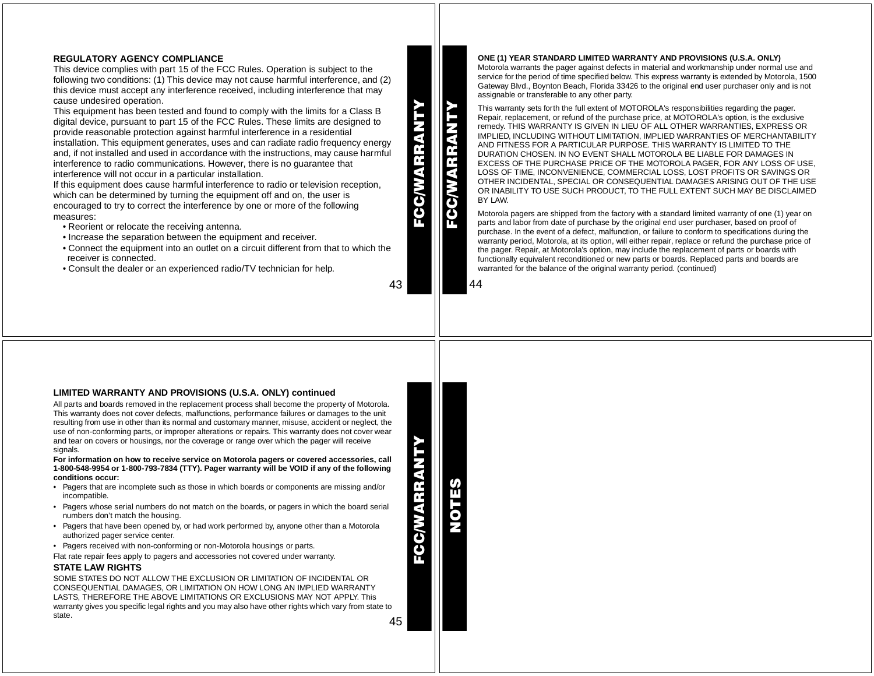#### **REGULATORY AGENCY COMPLIANCE**

This device complies with part 15 of the FCC Rules. Operation is subject to the following two conditions: (1) This device may not cause harmful interference, and (2) this device must accept any interference received, including interference that may cause undesired operation.

This equipment has been tested and found to comply with the limits for <sup>a</sup> Class B digital device, pursuant to part 15 of the FCC Rules. These limits are designed to provide reasonable protection against harmful interference in <sup>a</sup> residential installation. This equipment generates, uses and can radiate radio frequency energy and, if not installed and used in accordance with the instructions, may cause harmful interference to radio communications. However, there is no guarantee that interference will not occur in <sup>a</sup> particular installation.

If this equipment does cause harmful interference to radio or television reception, which can be determined by turning the equipment off and on, the user is encouraged to try to correct the interference by one or more of the following measures:

- Reorient or relocate the receiving antenna.
- Increase the separation between the equipment and receiver.
- Connect the equipment into an outlet on <sup>a</sup> circuit different from that to which the receiver is connected.
- Consult the dealer or an experienced radio/TV technician for help.

# 43

**FCC/WARRANTY**

CC/WARRAN'

**FCC/WARRANTY**

**CGWV** 

**Nas** ET **ONE (1) YEAR STANDARD LIMITED WARRANTY AND PROVISIONS (U.S.A. ONLY)** Motorola warrants the pager against defects in material and workmanship under normal use and service for the period of time specified below. This express warranty is extended by Motorola, 1500 Gateway Blvd., Boynton Beach, Florida 33426 to the original end user purchaser only and is not assignable or transferable to any other party.

This warranty sets forth the full extent of MOTOROLA's responsibilities regarding the pager. Repair, replacement, or refund of the purchase price, at MOTOROLA's option, is the exclusive remedy. THIS WARRANTY IS GIVEN IN LIEU OF ALL OTHER WARRANTIES, EXPRESS OR IMPLIED, INCLUDING WITHOUT LIMITATION, IMPLIED WARRANTIES OF MERCHANTABILITY AND FITNESS FOR A PARTICULAR PURPOSE. THIS WARRANTY IS LIMITED TO THE DURATION CHOSEN. IN NO EVENT SHALL MOTOROLA BE LIABLE FOR DAMAGES IN EXCESS OF THE PURCHASE PRICE OF THE MOTOROLA PAGER, FOR ANY LOSS OF USE, LOSS OF TIME, INCONVENIENCE, COMMERCIAL LOSS, LOST PROFITS OR SAVINGS OR OTHER INCIDENTAL, SPECIAL OR CONSEQUENTIAL DAMAGES ARISING OUT OF THE USE OR INABILITY TO USE SUCH PRODUCT, TO THE FULL EXTENT SUCH MAY BE DISCLAIMED BY LAW.

Motorola pagers are shipped from the factory with <sup>a</sup> standard limited warranty of one (1) year on parts and labor from date of purchase by the original end user purchaser, based on proof of purchase. In the event of <sup>a</sup> defect, malfunction, or failure to conform to specifications during the warranty period, Motorola, at its option, will either repair, replace or refund the purchase price of the pager. Repair, at Motorola's option, may include the replacement of parts or boards with functionally equivalent reconditioned or new parts or boards. Replaced parts and boards are warranted for the balance of the original warranty period. (continued)



#### **LIMITED WARRANTY AND PROVISIONS (U.S.A. ONLY) continued**

All parts and boards removed in the replacement process shall become the property of Motorola. This warranty does not cover defects, malfunctions, performance failures or damages to the unit resulting from use in other than its normal and customary manner, misuse, accident or neglect, the use of non-conforming parts, or improper alterations or repairs. This warranty does not cover wear and tear on covers or housings, nor the coverage or range over which the pager will receive signals.

For information on how to receive service on Motorola pagers or covered accessories, call 1-800-548-9954 or 1-800-793-7834 (TTY). Pager warranty will be VOID if any of the following **conditions occur:**

- Pagers that are incomplete such as those in which boards or components are missing and/or incompatible.
- Pagers whose serial numbers do not match on the boards, or pagers in which the board serial numbers don't match the housing.
- Pagers that have been opened by, or had work performed by, anyone other than <sup>a</sup> Motorola authorized pager service center.
- Pagers received with non-conforming or non-Motorola housings or parts.

Flat rate repair fees apply to pagers and accessories not covered under warranty.

#### **STATE LAW RIGHTS**

45SOME STATES DO NOT ALLOW THE EXCLUSION OR LIMITATION OF INCIDENTAL ORCONSEQUENTIAL DAMAGES, OR LIMITATION ON HOW LONG AN IMPLIED WARRANTY LASTS, THEREFORE THE ABOVE LIMITATIONS OR EXCLUSIONS MAY NOT APPLY. This warranty gives you specific legal rights and you may also have other rights which vary from state to state.

**FCC/WARRANTY** EX-

**NOTES**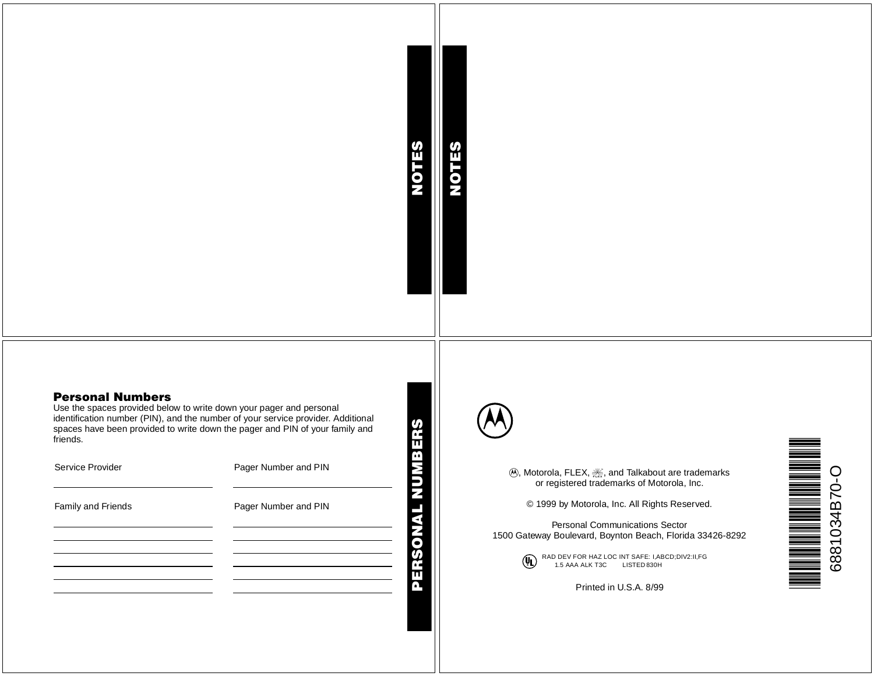# **NOTES**

**NOTES**

### **Personal Numbers**

 Use the spaces provided below to write down your pager and personal identification number (PIN), and the number of your service provider. Additional spaces have been provided to write down the pager and PIN of your family and friends.

| Service Provider   | Pager Number and PIN                                                                                                                                                                                                          |
|--------------------|-------------------------------------------------------------------------------------------------------------------------------------------------------------------------------------------------------------------------------|
| Family and Friends | Pager Number and PIN                                                                                                                                                                                                          |
|                    | the control of the control of the control of the control of the control of the control of the control of the control of the control of the control of the control of the control of the control of the control of the control |
|                    |                                                                                                                                                                                                                               |
|                    |                                                                                                                                                                                                                               |



(A)<br>
(A) Motorola, FLEX, see, and Talkabout are trademarks<br>
or registered trademarks of Motorola, Inc.<br>
C 1999 by Motorola, Inc. All Rights Reserved.<br>
Personal Communications Sector<br>
1500 Gateway Boulevard, Boynton Beach,

**(I)** RAD DEV FOR HAZ LOC INT SAFE: I,ABCD;DIV2:II,FG<br>1.5 AAA ALK T3C LISTED 830H<br>Printed in U.S.A. 8/99